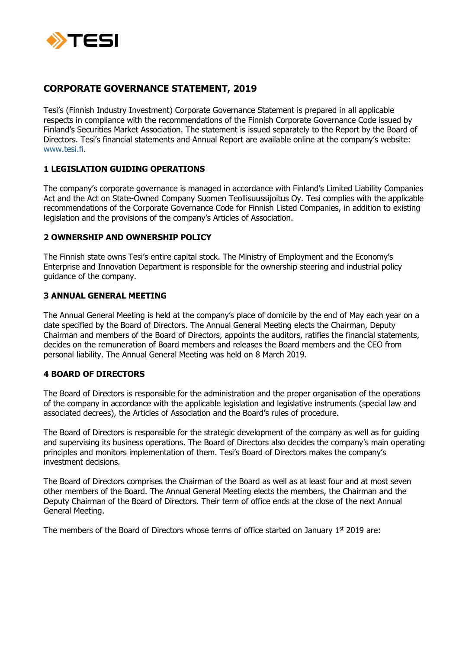

# **CORPORATE GOVERNANCE STATEMENT, 2019**

Tesi's (Finnish Industry Investment) Corporate Governance Statement is prepared in all applicable respects in compliance with the recommendations of the Finnish Corporate Governance Code issued by Finland's Securities Market Association. The statement is issued separately to the Report by the Board of Directors. Tesi's financial statements and Annual Report are available online at the company's website: [www.tesi.fi.](http://www.tesi.fi/)

### **1 LEGISLATION GUIDING OPERATIONS**

The company's corporate governance is managed in accordance with Finland's Limited Liability Companies Act and the Act on State-Owned Company Suomen Teollisuussijoitus Oy. Tesi complies with the applicable recommendations of the Corporate Governance Code for Finnish Listed Companies, in addition to existing legislation and the provisions of the company's Articles of Association.

# **2 OWNERSHIP AND OWNERSHIP POLICY**

The Finnish state owns Tesi's entire capital stock. The Ministry of Employment and the Economy's Enterprise and Innovation Department is responsible for the ownership steering and industrial policy guidance of the company.

# **3 ANNUAL GENERAL MEETING**

The Annual General Meeting is held at the company's place of domicile by the end of May each year on a date specified by the Board of Directors. The Annual General Meeting elects the Chairman, Deputy Chairman and members of the Board of Directors, appoints the auditors, ratifies the financial statements, decides on the remuneration of Board members and releases the Board members and the CEO from personal liability. The Annual General Meeting was held on 8 March 2019.

# **4 BOARD OF DIRECTORS**

The Board of Directors is responsible for the administration and the proper organisation of the operations of the company in accordance with the applicable legislation and legislative instruments (special law and associated decrees), the Articles of Association and the Board's rules of procedure.

The Board of Directors is responsible for the strategic development of the company as well as for guiding and supervising its business operations. The Board of Directors also decides the company's main operating principles and monitors implementation of them. Tesi's Board of Directors makes the company's investment decisions.

The Board of Directors comprises the Chairman of the Board as well as at least four and at most seven other members of the Board. The Annual General Meeting elects the members, the Chairman and the Deputy Chairman of the Board of Directors. Their term of office ends at the close of the next Annual General Meeting.

The members of the Board of Directors whose terms of office started on January  $1<sup>st</sup>$  2019 are: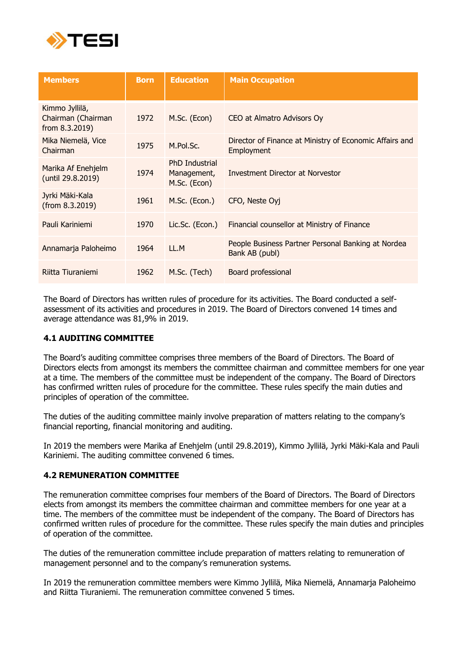

| <b>Members</b>                                         | <b>Born</b> | <b>Education</b>                                     | <b>Main Occupation</b>                                                |
|--------------------------------------------------------|-------------|------------------------------------------------------|-----------------------------------------------------------------------|
| Kimmo Jyllilä,<br>Chairman (Chairman<br>from 8.3.2019) | 1972        | M.Sc. (Econ)                                         | CEO at Almatro Advisors Oy                                            |
| Mika Niemelä, Vice<br>Chairman                         | 1975        | M.Pol.Sc.                                            | Director of Finance at Ministry of Economic Affairs and<br>Employment |
| Marika Af Enehjelm<br>(until 29.8.2019)                | 1974        | <b>PhD Industrial</b><br>Management,<br>M.Sc. (Econ) | Investment Director at Norvestor                                      |
| Jyrki Mäki-Kala<br>(from 8.3.2019)                     | 1961        | M.Sc. (Econ.)                                        | CFO, Neste Oyj                                                        |
| Pauli Kariniemi                                        | 1970        | Lic.Sc. (Econ.)                                      | Financial counsellor at Ministry of Finance                           |
| Annamarja Paloheimo                                    | 1964        | LL.M                                                 | People Business Partner Personal Banking at Nordea<br>Bank AB (publ)  |
| Riitta Tiuraniemi                                      | 1962        | M.Sc. (Tech)                                         | Board professional                                                    |

The Board of Directors has written rules of procedure for its activities. The Board conducted a selfassessment of its activities and procedures in 2019. The Board of Directors convened 14 times and average attendance was 81,9% in 2019.

### **4.1 AUDITING COMMITTEE**

The Board's auditing committee comprises three members of the Board of Directors. The Board of Directors elects from amongst its members the committee chairman and committee members for one year at a time. The members of the committee must be independent of the company. The Board of Directors has confirmed written rules of procedure for the committee. These rules specify the main duties and principles of operation of the committee.

The duties of the auditing committee mainly involve preparation of matters relating to the company's financial reporting, financial monitoring and auditing.

In 2019 the members were Marika af Enehjelm (until 29.8.2019), Kimmo Jyllilä, Jyrki Mäki-Kala and Pauli Kariniemi. The auditing committee convened 6 times.

### **4.2 REMUNERATION COMMITTEE**

The remuneration committee comprises four members of the Board of Directors. The Board of Directors elects from amongst its members the committee chairman and committee members for one year at a time. The members of the committee must be independent of the company. The Board of Directors has confirmed written rules of procedure for the committee. These rules specify the main duties and principles of operation of the committee.

The duties of the remuneration committee include preparation of matters relating to remuneration of management personnel and to the company's remuneration systems.

In 2019 the remuneration committee members were Kimmo Jyllilä, Mika Niemelä, Annamarja Paloheimo and Riitta Tiuraniemi. The remuneration committee convened 5 times.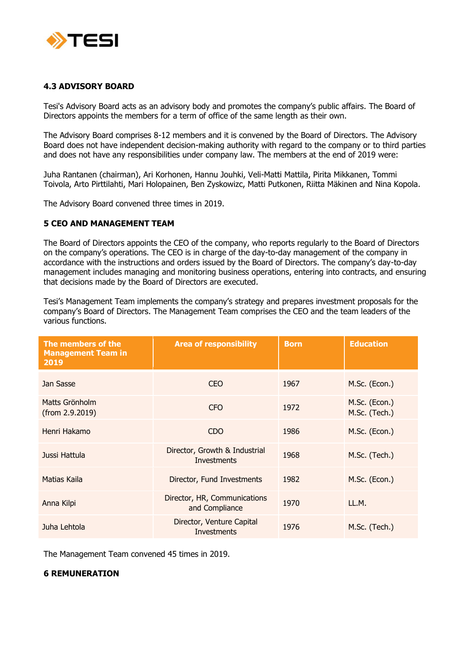

### **4.3 ADVISORY BOARD**

Tesi's Advisory Board acts as an advisory body and promotes the company's public affairs. The Board of Directors appoints the members for a term of office of the same length as their own.

The Advisory Board comprises 8-12 members and it is convened by the Board of Directors. The Advisory Board does not have independent decision-making authority with regard to the company or to third parties and does not have any responsibilities under company law. The members at the end of 2019 were:

Juha Rantanen (chairman), Ari Korhonen, Hannu Jouhki, Veli-Matti Mattila, Pirita Mikkanen, Tommi Toivola, Arto Pirttilahti, Mari Holopainen, Ben Zyskowizc, Matti Putkonen, Riitta Mäkinen and Nina Kopola.

The Advisory Board convened three times in 2019.

#### **5 CEO AND MANAGEMENT TEAM**

The Board of Directors appoints the CEO of the company, who reports regularly to the Board of Directors on the company's operations. The CEO is in charge of the day-to-day management of the company in accordance with the instructions and orders issued by the Board of Directors. The company's day-to-day management includes managing and monitoring business operations, entering into contracts, and ensuring that decisions made by the Board of Directors are executed.

Tesi's Management Team implements the company's strategy and prepares investment proposals for the company's Board of Directors. The Management Team comprises the CEO and the team leaders of the various functions.

| The members of the<br><b>Management Team in</b><br>2019 | <b>Area of responsibility</b>                       | <b>Born</b> | <b>Education</b>               |
|---------------------------------------------------------|-----------------------------------------------------|-------------|--------------------------------|
| Jan Sasse                                               | <b>CEO</b>                                          | 1967        | M.Sc. (Econ.)                  |
| Matts Grönholm<br>(from 2.9.2019)                       | <b>CFO</b>                                          | 1972        | M.Sc. (Econ.)<br>M.Sc. (Tech.) |
| Henri Hakamo                                            | <b>CDO</b>                                          | 1986        | M.Sc. (Econ.)                  |
| Jussi Hattula                                           | Director, Growth & Industrial<br><b>Investments</b> | 1968        | M.Sc. (Tech.)                  |
| Matias Kaila                                            | Director, Fund Investments                          | 1982        | M.Sc. (Econ.)                  |
| Anna Kilpi                                              | Director, HR, Communications<br>and Compliance      | 1970        | LL.M.                          |
| Juha Lehtola                                            | Director, Venture Capital<br><b>Investments</b>     | 1976        | M.Sc. (Tech.)                  |

The Management Team convened 45 times in 2019.

### **6 REMUNERATION**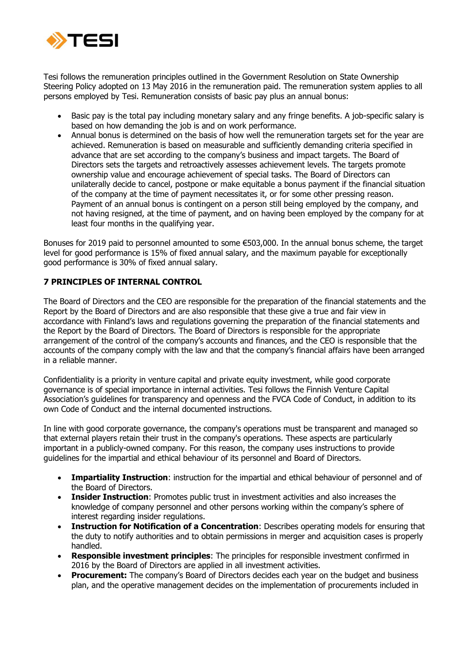

Tesi follows the remuneration principles outlined in the Government Resolution on State Ownership Steering Policy adopted on 13 May 2016 in the remuneration paid. The remuneration system applies to all persons employed by Tesi. Remuneration consists of basic pay plus an annual bonus:

- Basic pay is the total pay including monetary salary and any fringe benefits. A job-specific salary is based on how demanding the job is and on work performance.
- Annual bonus is determined on the basis of how well the remuneration targets set for the year are achieved. Remuneration is based on measurable and sufficiently demanding criteria specified in advance that are set according to the company's business and impact targets. The Board of Directors sets the targets and retroactively assesses achievement levels. The targets promote ownership value and encourage achievement of special tasks. The Board of Directors can unilaterally decide to cancel, postpone or make equitable a bonus payment if the financial situation of the company at the time of payment necessitates it, or for some other pressing reason. Payment of an annual bonus is contingent on a person still being employed by the company, and not having resigned, at the time of payment, and on having been employed by the company for at least four months in the qualifying year.

Bonuses for 2019 paid to personnel amounted to some €503,000. In the annual bonus scheme, the target level for good performance is 15% of fixed annual salary, and the maximum payable for exceptionally good performance is 30% of fixed annual salary.

### **7 PRINCIPLES OF INTERNAL CONTROL**

The Board of Directors and the CEO are responsible for the preparation of the financial statements and the Report by the Board of Directors and are also responsible that these give a true and fair view in accordance with Finland's laws and regulations governing the preparation of the financial statements and the Report by the Board of Directors. The Board of Directors is responsible for the appropriate arrangement of the control of the company's accounts and finances, and the CEO is responsible that the accounts of the company comply with the law and that the company's financial affairs have been arranged in a reliable manner.

Confidentiality is a priority in venture capital and private equity investment, while good corporate governance is of special importance in internal activities. Tesi follows the Finnish Venture Capital Association's guidelines for transparency and openness and the FVCA Code of Conduct, in addition to its own Code of Conduct and the internal documented instructions.

In line with good corporate governance, the company's operations must be transparent and managed so that external players retain their trust in the company's operations. These aspects are particularly important in a publicly-owned company. For this reason, the company uses instructions to provide guidelines for the impartial and ethical behaviour of its personnel and Board of Directors.

- **Impartiality Instruction**: instruction for the impartial and ethical behaviour of personnel and of the Board of Directors.
- **Insider Instruction**: Promotes public trust in investment activities and also increases the knowledge of company personnel and other persons working within the company's sphere of interest regarding insider regulations.
- **Instruction for Notification of a Concentration**: Describes operating models for ensuring that the duty to notify authorities and to obtain permissions in merger and acquisition cases is properly handled.
- **Responsible investment principles**: The principles for responsible investment confirmed in 2016 by the Board of Directors are applied in all investment activities.
- **Procurement:** The company's Board of Directors decides each year on the budget and business plan, and the operative management decides on the implementation of procurements included in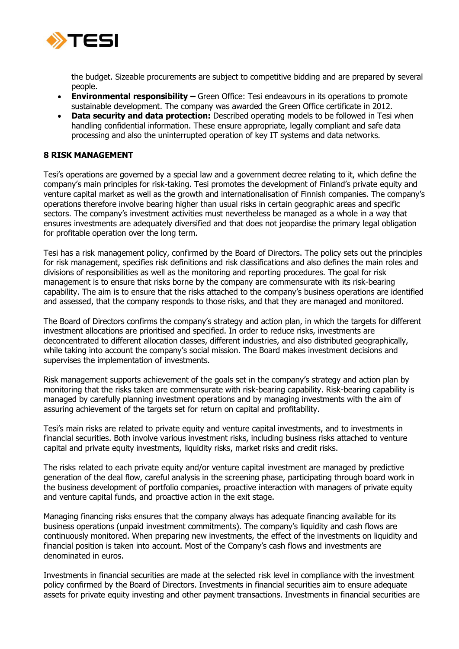

the budget. Sizeable procurements are subject to competitive bidding and are prepared by several people.

- **Environmental responsibility –** Green Office: Tesi endeavours in its operations to promote sustainable development. The company was awarded the Green Office certificate in 2012.
- **Data security and data protection:** Described operating models to be followed in Tesi when handling confidential information. These ensure appropriate, legally compliant and safe data processing and also the uninterrupted operation of key IT systems and data networks.

#### **8 RISK MANAGEMENT**

Tesi's operations are governed by a special law and a government decree relating to it, which define the company's main principles for risk-taking. Tesi promotes the development of Finland's private equity and venture capital market as well as the growth and internationalisation of Finnish companies. The company's operations therefore involve bearing higher than usual risks in certain geographic areas and specific sectors. The company's investment activities must nevertheless be managed as a whole in a way that ensures investments are adequately diversified and that does not jeopardise the primary legal obligation for profitable operation over the long term.

Tesi has a risk management policy, confirmed by the Board of Directors. The policy sets out the principles for risk management, specifies risk definitions and risk classifications and also defines the main roles and divisions of responsibilities as well as the monitoring and reporting procedures. The goal for risk management is to ensure that risks borne by the company are commensurate with its risk-bearing capability. The aim is to ensure that the risks attached to the company's business operations are identified and assessed, that the company responds to those risks, and that they are managed and monitored.

The Board of Directors confirms the company's strategy and action plan, in which the targets for different investment allocations are prioritised and specified. In order to reduce risks, investments are deconcentrated to different allocation classes, different industries, and also distributed geographically, while taking into account the company's social mission. The Board makes investment decisions and supervises the implementation of investments.

Risk management supports achievement of the goals set in the company's strategy and action plan by monitoring that the risks taken are commensurate with risk-bearing capability. Risk-bearing capability is managed by carefully planning investment operations and by managing investments with the aim of assuring achievement of the targets set for return on capital and profitability.

Tesi's main risks are related to private equity and venture capital investments, and to investments in financial securities. Both involve various investment risks, including business risks attached to venture capital and private equity investments, liquidity risks, market risks and credit risks.

The risks related to each private equity and/or venture capital investment are managed by predictive generation of the deal flow, careful analysis in the screening phase, participating through board work in the business development of portfolio companies, proactive interaction with managers of private equity and venture capital funds, and proactive action in the exit stage.

Managing financing risks ensures that the company always has adequate financing available for its business operations (unpaid investment commitments). The company's liquidity and cash flows are continuously monitored. When preparing new investments, the effect of the investments on liquidity and financial position is taken into account. Most of the Company's cash flows and investments are denominated in euros.

Investments in financial securities are made at the selected risk level in compliance with the investment policy confirmed by the Board of Directors. Investments in financial securities aim to ensure adequate assets for private equity investing and other payment transactions. Investments in financial securities are